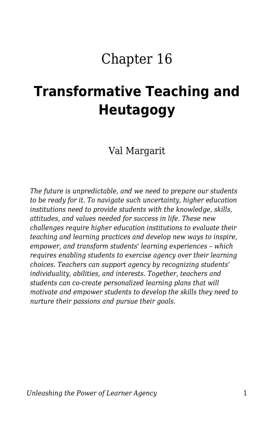## Chapter 16

# **Transformative Teaching and Heutagogy**

Val Margarit

*The future is unpredictable, and we need to prepare our students to be ready for it. To navigate such uncertainty, higher education institutions need to provide students with the knowledge, skills, attitudes, and values needed for success in life. These new challenges require higher education institutions to evaluate their teaching and learning practices and develop new ways to inspire, empower, and transform students' learning experiences – which requires enabling students to exercise agency over their learning choices. Teachers can support agency by recognizing students' individuality, abilities, and interests. Together, teachers and students can co-create personalized learning plans that will motivate and empower students to develop the skills they need to nurture their passions and pursue their goals.*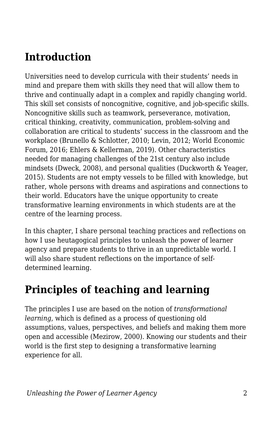### **Introduction**

Universities need to develop curricula with their students' needs in mind and prepare them with skills they need that will allow them to thrive and continually adapt in a complex and rapidly changing world. This skill set consists of noncognitive, cognitive, and job-specific skills. Noncognitive skills such as teamwork, perseverance, motivation, critical thinking, creativity, communication, problem-solving and collaboration are critical to students' success in the classroom and the workplace (Brunello & Schlotter, 2010; Levin, 2012; World Economic Forum, 2016; Ehlers & Kellerman, 2019). Other characteristics needed for managing challenges of the 21st century also include mindsets (Dweck, 2008), and personal qualities (Duckworth & Yeager, 2015). Students are not empty vessels to be filled with knowledge, but rather, whole persons with dreams and aspirations and connections to their world. Educators have the unique opportunity to create transformative learning environments in which students are at the centre of the learning process.

In this chapter, I share personal teaching practices and reflections on how I use heutagogical principles to unleash the power of learner agency and prepare students to thrive in an unpredictable world. I will also share student reflections on the importance of selfdetermined learning.

### **Principles of teaching and learning**

The principles I use are based on the notion of *transformational learning*, which is defined as a process of questioning old assumptions, values, perspectives, and beliefs and making them more open and accessible (Mezirow, 2000). Knowing our students and their world is the first step to designing a transformative learning experience for all.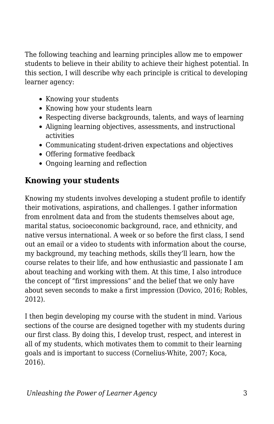The following teaching and learning principles allow me to empower students to believe in their ability to achieve their highest potential. In this section, I will describe why each principle is critical to developing learner agency:

- Knowing your students
- Knowing how your students learn
- Respecting diverse backgrounds, talents, and ways of learning
- Aligning learning objectives, assessments, and instructional activities
- Communicating student-driven expectations and objectives
- Offering formative feedback
- Ongoing learning and reflection

#### **Knowing your students**

Knowing my students involves developing a student profile to identify their motivations, aspirations, and challenges. I gather information from enrolment data and from the students themselves about age, marital status, socioeconomic background, race, and ethnicity, and native versus international. A week or so before the first class, I send out an email or a video to students with information about the course, my background, my teaching methods, skills they'll learn, how the course relates to their life, and how enthusiastic and passionate I am about teaching and working with them. At this time, I also introduce the concept of "first impressions" and the belief that we only have about seven seconds to make a first impression (Dovico, 2016; Robles, 2012).

I then begin developing my course with the student in mind. Various sections of the course are designed together with my students during our first class. By doing this, I develop trust, respect, and interest in all of my students, which motivates them to commit to their learning goals and is important to success (Cornelius-White, 2007; Koca, 2016).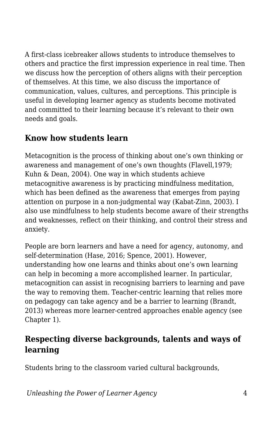A first-class icebreaker allows students to introduce themselves to others and practice the first impression experience in real time. Then we discuss how the perception of others aligns with their perception of themselves. At this time, we also discuss the importance of communication, values, cultures, and perceptions. This principle is useful in developing learner agency as students become motivated and committed to their learning because it's relevant to their own needs and goals.

### **Know how students learn**

Metacognition is the process of thinking about one's own thinking or awareness and management of one's own thoughts (Flavell,1979; Kuhn & Dean, 2004). One way in which students achieve metacognitive awareness is by practicing mindfulness meditation, which has been defined as the awareness that emerges from paying attention on purpose in a non-judgmental way (Kabat-Zinn, 2003). I also use mindfulness to help students become aware of their strengths and weaknesses, reflect on their thinking, and control their stress and anxiety.

People are born learners and have a need for agency, autonomy, and self-determination (Hase, 2016; Spence, 2001). However, understanding how one learns and thinks about one's own learning can help in becoming a more accomplished learner. In particular, metacognition can assist in recognising barriers to learning and pave the way to removing them. Teacher-centric learning that relies more on pedagogy can take agency and be a barrier to learning (Brandt, 2013) whereas more learner-centred approaches enable agency (see Chapter 1).

### **Respecting diverse backgrounds, talents and ways of learning**

Students bring to the classroom varied cultural backgrounds,

*Unleashing the Power of Learner Agency* 4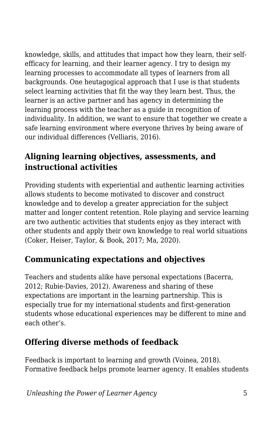knowledge, skills, and attitudes that impact how they learn, their selfefficacy for learning, and their learner agency. I try to design my learning processes to accommodate all types of learners from all backgrounds. One heutagogical approach that I use is that students select learning activities that fit the way they learn best. Thus, the learner is an active partner and has agency in determining the learning process with the teacher as a guide in recognition of individuality. In addition, we want to ensure that together we create a safe learning environment where everyone thrives by being aware of our individual differences (Velliaris, 2016).

### **Aligning learning objectives, assessments, and instructional activities**

Providing students with experiential and authentic learning activities allows students to become motivated to discover and construct knowledge and to develop a greater appreciation for the subject matter and longer content retention. Role playing and service learning are two authentic activities that students enjoy as they interact with other students and apply their own knowledge to real world situations (Coker, Heiser, Taylor, & Book, 2017; Ma, 2020).

### **Communicating expectations and objectives**

Teachers and students alike have personal expectations (Bacerra, 2012; Rubie-Davies, 2012). Awareness and sharing of these expectations are important in the learning partnership. This is especially true for my international students and first-generation students whose educational experiences may be different to mine and each other's.

### **Offering diverse methods of feedback**

Feedback is important to learning and growth (Voinea, 2018). Formative feedback helps promote learner agency. It enables students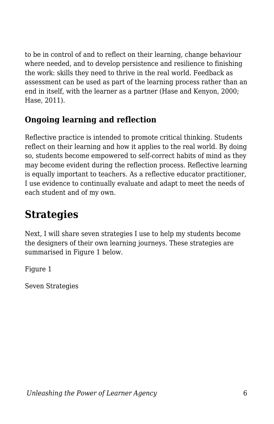to be in control of and to reflect on their learning, change behaviour where needed, and to develop persistence and resilience to finishing the work: skills they need to thrive in the real world. Feedback as assessment can be used as part of the learning process rather than an end in itself, with the learner as a partner (Hase and Kenyon, 2000; Hase, 2011).

### **Ongoing learning and reflection**

Reflective practice is intended to promote critical thinking. Students reflect on their learning and how it applies to the real world. By doing so, students become empowered to self-correct habits of mind as they may become evident during the reflection process. Reflective learning is equally important to teachers. As a reflective educator practitioner, I use evidence to continually evaluate and adapt to meet the needs of each student and of my own.

### **Strategies**

Next, I will share seven strategies I use to help my students become the designers of their own learning journeys. These strategies are summarised in Figure 1 below.

Figure 1

Seven Strategies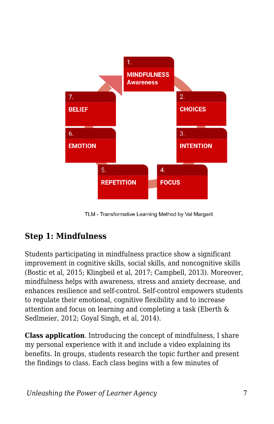

TLM - Transformative Learning Method by Val Margarit

### **Step 1: Mindfulness**

Students participating in mindfulness practice show a significant improvement in cognitive skills, social skills, and noncognitive skills (Bostic et al, 2015; Klingbeil et al, 2017; Campbell, 2013). Moreover, mindfulness helps with awareness, stress and anxiety decrease, and enhances resilience and self-control. Self-control empowers students to regulate their emotional, cognitive flexibility and to increase attention and focus on learning and completing a task (Eberth & Sedlmeier, 2012; Goyal Singh, et al, 2014).

**Class application**. Introducing the concept of mindfulness, I share my personal experience with it and include a video explaining its benefits. In groups, students research the topic further and present the findings to class. Each class begins with a few minutes of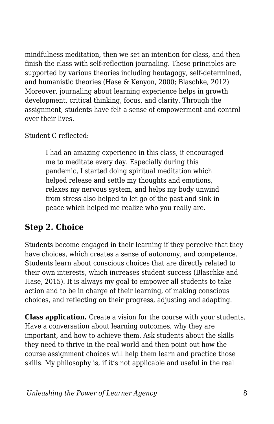mindfulness meditation, then we set an intention for class, and then finish the class with self-reflection journaling. These principles are supported by various theories including heutagogy, self-determined, and humanistic theories (Hase & Kenyon, 2000; Blaschke, 2012) Moreover, journaling about learning experience helps in growth development, critical thinking, focus, and clarity. Through the assignment, students have felt a sense of empowerment and control over their lives.

Student C reflected:

I had an amazing experience in this class, it encouraged me to meditate every day. Especially during this pandemic, I started doing spiritual meditation which helped release and settle my thoughts and emotions, relaxes my nervous system, and helps my body unwind from stress also helped to let go of the past and sink in peace which helped me realize who you really are.

### **Step 2. Choice**

Students become engaged in their learning if they perceive that they have choices, which creates a sense of autonomy, and competence. Students learn about conscious choices that are directly related to their own interests, which increases student success (Blaschke and Hase, 2015). It is always my goal to empower all students to take action and to be in charge of their learning, of making conscious choices, and reflecting on their progress, adjusting and adapting.

**Class application.** Create a vision for the course with your students. Have a conversation about learning outcomes, why they are important, and how to achieve them. Ask students about the skills they need to thrive in the real world and then point out how the course assignment choices will help them learn and practice those skills. My philosophy is, if it's not applicable and useful in the real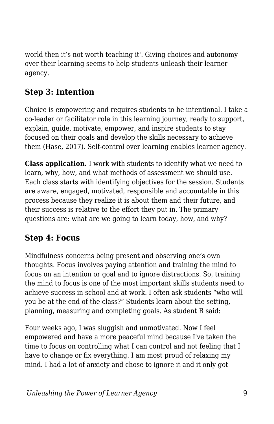world then it's not worth teaching it'. Giving choices and autonomy over their learning seems to help students unleash their learner agency.

### **Step 3: Intention**

Choice is empowering and requires students to be intentional. I take a co-leader or facilitator role in this learning journey, ready to support, explain, guide, motivate, empower, and inspire students to stay focused on their goals and develop the skills necessary to achieve them (Hase, 2017). Self-control over learning enables learner agency.

**Class application.** I work with students to identify what we need to learn, why, how, and what methods of assessment we should use. Each class starts with identifying objectives for the session. Students are aware, engaged, motivated, responsible and accountable in this process because they realize it is about them and their future, and their success is relative to the effort they put in. The primary questions are: what are we going to learn today, how, and why?

### **Step 4: Focus**

Mindfulness concerns being present and observing one's own thoughts. Focus involves paying attention and training the mind to focus on an intention or goal and to ignore distractions. So, training the mind to focus is one of the most important skills students need to achieve success in school and at work. I often ask students "who will you be at the end of the class?" Students learn about the setting, planning, measuring and completing goals. As student R said:

Four weeks ago, I was sluggish and unmotivated. Now I feel empowered and have a more peaceful mind because I've taken the time to focus on controlling what I can control and not feeling that I have to change or fix everything. I am most proud of relaxing my mind. I had a lot of anxiety and chose to ignore it and it only got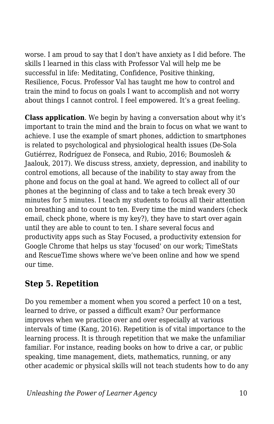worse. I am proud to say that I don't have anxiety as I did before. The skills I learned in this class with Professor Val will help me be successful in life: Meditating, Confidence, Positive thinking, Resilience, Focus. Professor Val has taught me how to control and train the mind to focus on goals I want to accomplish and not worry about things I cannot control. I feel empowered. It's a great feeling.

**Class application**. We begin by having a conversation about why it's important to train the mind and the brain to focus on what we want to achieve. I use the example of smart phones, addiction to smartphones is related to psychological and physiological health issues (De-Sola Gutiérrez, Rodríguez de Fonseca, and Rubio, 2016; Boumosleh & Jaalouk, 2017). We discuss stress, anxiety, depression, and inability to control emotions, all because of the inability to stay away from the phone and focus on the goal at hand. We agreed to collect all of our phones at the beginning of class and to take a tech break every 30 minutes for 5 minutes. I teach my students to focus all their attention on breathing and to count to ten. Every time the mind wanders (check email, check phone, where is my key?), they have to start over again until they are able to count to ten. I share several focus and productivity apps such as Stay Focused, a productivity extension for Google Chrome that helps us stay 'focused' on our work; TimeStats and RescueTime shows where we've been online and how we spend our time.

#### **Step 5. Repetition**

Do you remember a moment when you scored a perfect 10 on a test, learned to drive, or passed a difficult exam? Our performance improves when we practice over and over especially at various intervals of time (Kang, 2016). Repetition is of vital importance to the learning process. It is through repetition that we make the unfamiliar familiar. For instance, reading books on how to drive a car, or public speaking, time management, diets, mathematics, running, or any other academic or physical skills will not teach students how to do any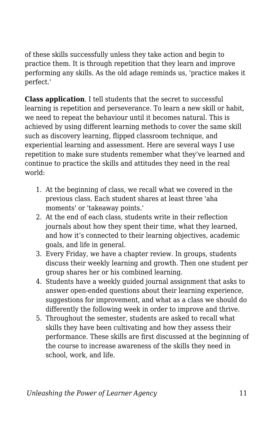of these skills successfully unless they take action and begin to practice them. It is through repetition that they learn and improve performing any skills. As the old adage reminds us, 'practice makes it perfect.'

**Class application**. I tell students that the secret to successful learning is repetition and perseverance. To learn a new skill or habit, we need to repeat the behaviour until it becomes natural. This is achieved by using different learning methods to cover the same skill such as discovery learning, flipped classroom technique, and experiential learning and assessment. Here are several ways I use repetition to make sure students remember what they've learned and continue to practice the skills and attitudes they need in the real world:

- 1. At the beginning of class, we recall what we covered in the previous class. Each student shares at least three 'aha moments' or 'takeaway points.'
- 2. At the end of each class, students write in their reflection journals about how they spent their time, what they learned, and how it's connected to their learning objectives, academic goals, and life in general.
- 3. Every Friday, we have a chapter review. In groups, students discuss their weekly learning and growth. Then one student per group shares her or his combined learning.
- 4. Students have a weekly guided journal assignment that asks to answer open-ended questions about their learning experience, suggestions for improvement, and what as a class we should do differently the following week in order to improve and thrive.
- 5. Throughout the semester, students are asked to recall what skills they have been cultivating and how they assess their performance. These skills are first discussed at the beginning of the course to increase awareness of the skills they need in school, work, and life.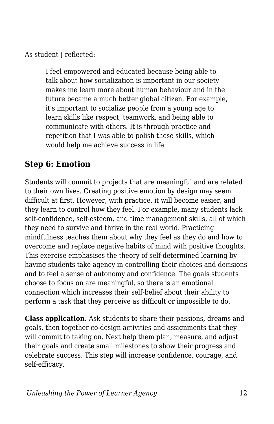As student I reflected:

I feel empowered and educated because being able to talk about how socialization is important in our society makes me learn more about human behaviour and in the future became a much better global citizen. For example, it's important to socialize people from a young age to learn skills like respect, teamwork, and being able to communicate with others. It is through practice and repetition that I was able to polish these skills, which would help me achieve success in life.

### **Step 6: Emotion**

Students will commit to projects that are meaningful and are related to their own lives. Creating positive emotion by design may seem difficult at first. However, with practice, it will become easier, and they learn to control how they feel. For example, many students lack self-confidence, self-esteem, and time management skills, all of which they need to survive and thrive in the real world. Practicing mindfulness teaches them about why they feel as they do and how to overcome and replace negative habits of mind with positive thoughts. This exercise emphasises the theory of self-determined learning by having students take agency in controlling their choices and decisions and to feel a sense of autonomy and confidence. The goals students choose to focus on are meaningful, so there is an emotional connection which increases their self-belief about their ability to perform a task that they perceive as difficult or impossible to do.

**Class application.** Ask students to share their passions, dreams and goals, then together co-design activities and assignments that they will commit to taking on. Next help them plan, measure, and adjust their goals and create small milestones to show their progress and celebrate success. This step will increase confidence, courage, and self-efficacy.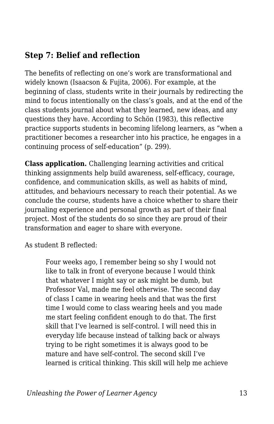#### **Step 7: Belief and reflection**

The benefits of reflecting on one's work are transformational and widely known (Isaacson & Fujita, 2006). For example, at the beginning of class, students write in their journals by redirecting the mind to focus intentionally on the class's goals, and at the end of the class students journal about what they learned, new ideas, and any questions they have. According to Schön (1983), this reflective practice supports students in becoming lifelong learners, as "when a practitioner becomes a researcher into his practice, he engages in a continuing process of self-education" (p. 299).

**Class application.** Challenging learning activities and critical thinking assignments help build awareness, self-efficacy, courage, confidence, and communication skills, as well as habits of mind, attitudes, and behaviours necessary to reach their potential. As we conclude the course, students have a choice whether to share their journaling experience and personal growth as part of their final project. Most of the students do so since they are proud of their transformation and eager to share with everyone.

As student B reflected:

Four weeks ago, I remember being so shy I would not like to talk in front of everyone because I would think that whatever I might say or ask might be dumb, but Professor Val, made me feel otherwise. The second day of class I came in wearing heels and that was the first time I would come to class wearing heels and you made me start feeling confident enough to do that. The first skill that I've learned is self-control. I will need this in everyday life because instead of talking back or always trying to be right sometimes it is always good to be mature and have self-control. The second skill I've learned is critical thinking. This skill will help me achieve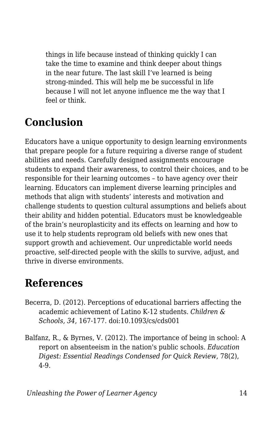things in life because instead of thinking quickly I can take the time to examine and think deeper about things in the near future. The last skill I've learned is being strong-minded. This will help me be successful in life because I will not let anyone influence me the way that I feel or think.

### **Conclusion**

Educators have a unique opportunity to design learning environments that prepare people for a future requiring a diverse range of student abilities and needs. Carefully designed assignments encourage students to expand their awareness, to control their choices, and to be responsible for their learning outcomes – to have agency over their learning. Educators can implement diverse learning principles and methods that align with students' interests and motivation and challenge students to question cultural assumptions and beliefs about their ability and hidden potential. Educators must be knowledgeable of the brain's neuroplasticity and its effects on learning and how to use it to help students reprogram old beliefs with new ones that support growth and achievement. Our unpredictable world needs proactive, self-directed people with the skills to survive, adjust, and thrive in diverse environments.

### **References**

- Becerra, D. (2012). Perceptions of educational barriers affecting the academic achievement of Latino K-12 students. *Children & Schools, 34*, 167-177. doi:10.1093/cs/cds001
- Balfanz, R., & Byrnes, V. (2012). The importance of being in school: A report on absenteeism in the nation's public schools. *Education Digest: Essential Readings Condensed for Quick Review*, 78(2), 4-9.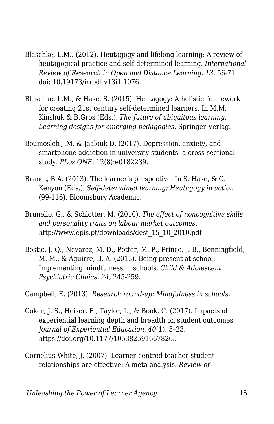- Blaschke, L.M.. (2012). Heutagogy and lifelong learning: A review of heutagogical practice and self-determined learning*. International Review of Research in Open and Distance Learning*. *13*, 56-71. doi: 10.19173/irrodl.v13i1.1076.
- Blaschke, L.M., & Hase, S. (2015). Heutagogy: A holistic framework for creating 21st century self-determined learners. In M.M. Kinshuk & B.Gros (Eds.), *The future of ubiquitous learning: Learning designs for emerging pedagogies*. Springer Verlag.
- Boumosleh J.M, & Jaalouk D. (2017). Depression, anxiety, and smartphone addiction in university students- a cross-sectional study. *PLos ONE.* 12(8):e0182239.
- Brandt, B.A. (2013). The learner's perspective. In S. Hase, & C. Kenyon (Eds.), *Self-determined learning: Heutagogy in action* (99-116). Bloomsbury Academic.
- Brunello, G., & Schlotter, M. (2010). *The effect of noncognitive skills and personality traits on labour market outcomes*. http://www.epis.pt/downloads/dest\_15\_10\_2010.pdf
- Bostic, J. Q., Nevarez, M. D., Potter, M. P., Prince, J. B., Benningfield, M. M., & Aguirre, B. A. (2015). Being present at school: Implementing mindfulness in schools. *Child & Adolescent Psychiatric Clinics, 24,* 245-259.

Campbell, E. (2013). *Research round-up: Mindfulness in schools.*

- Coker, J. S., Heiser, E., Taylor, L., & Book, C. (2017). Impacts of experiential learning depth and breadth on student outcomes. *Journal of Experiential Education, 40*(1), 5–23. https://doi.org/10.1177/1053825916678265
- Cornelius-White, J. (2007). Learner-centred teacher-student relationships are effective: A meta-analysis. *Review of*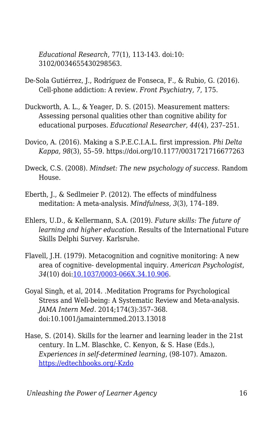*Educational Research*, 77(1), 113-143. doi:10: 3102/0034655430298563.

- De-Sola Gutiérrez, J., Rodríguez de Fonseca, F., & Rubio, G. (2016). Cell-phone addiction: A review*. Front Psychiatr*y*, 7*, 175.
- Duckworth, A. L., & Yeager, D. S. (2015). Measurement matters: Assessing personal qualities other than cognitive ability for educational purposes. *Educational Researcher, 44*(4), 237–251.
- Dovico, A. (2016). Making a S.P.E.C.I.A.L. first impression. *Phi Delta Kappa, 98*(3), 55–59. https://doi.org/10.1177/0031721716677263
- Dweck, C.S. (2008). *Mindset: The new psychology of success*. Random House.
- Eberth, J., & Sedlmeier P. (2012). The effects of mindfulness meditation: A meta-analysis. *Mindfulness, 3*(3), 174–189.
- Ehlers, U.D., & Kellermann, S.A. (2019). *Future skills: The future of learning and higher education*. Results of the International Future Skills Delphi Survey. Karlsruhe.
- Flavell, J.H. (1979). Metacognition and cognitive monitoring: A new area of cognitive- developmental inquiry. *American Psychologist, 34*(10) doi:[10.1037/0003-066X.34.10.906](http://dx.doi.org/10.1037/0003-066X.34.10.906).
- Goyal Singh, et al, 2014. .Meditation Programs for Psychological Stress and Well-being: A Systematic Review and Meta-analysis. *JAMA Intern Med.* 2014;174(3):357–368. doi:10.1001/jamainternmed.2013.13018
- Hase, S. (2014). Skills for the learner and learning leader in the 21st century. In L.M. Blaschke, C. Kenyon, & S. Hase (Eds.), *Experiences in self-determined learning*, (98-107). Amazon. [https://edtechbooks.org/-Kzdo](https://uol.de/coer/announcements/free-oer-now-available-experiences-in-self-determined-learning/)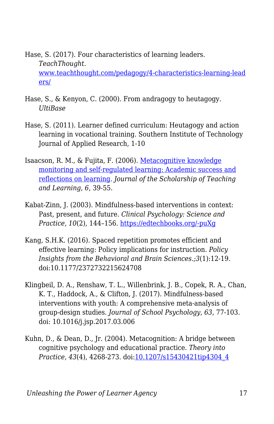Hase, S. (2017). Four characteristics of learning leaders. *TeachThought.* [www.teachthought.com/pedagogy/4-characteristics-learning-lead](http://www.teachthought.com/pedagogy/4-characteristics-learning-leaders/) [ers/](http://www.teachthought.com/pedagogy/4-characteristics-learning-leaders/)

- Hase, S., & Kenyon, C. (2000). From andragogy to heutagogy. *UltiBase*
- Hase, S. (2011). Learner defined curriculum: Heutagogy and action learning in vocational training. Southern Institute of Technology Journal of Applied Research, 1-10
- Isaacson, R. M., & Fujita, F. (2006). [Metacognitive knowledge](https://cdn.vanderbilt.edu/vu-wp0/wp-content/uploads/sites/59/2010/06/27125856/Isaacson2007Meta.pdf) [monitoring and self-regulated learning: Academic success and](https://cdn.vanderbilt.edu/vu-wp0/wp-content/uploads/sites/59/2010/06/27125856/Isaacson2007Meta.pdf) [reflections on learning.](https://cdn.vanderbilt.edu/vu-wp0/wp-content/uploads/sites/59/2010/06/27125856/Isaacson2007Meta.pdf) *Journal of the Scholarship of Teaching and Learning*, *6*, 39-55.
- Kabat-Zinn, J. (2003). Mindfulness-based interventions in context: Past, present, and future. *Clinical Psychology: Science and Practice, 10*(2), 144–156. [https://edtechbooks.org/-puXg](https://psycnet.apa.org/doi/10.1093/clipsy.bpg016)
- Kang, S.H.K. (2016). Spaced repetition promotes efficient and effective learning: Policy implications for instruction. *Policy Insights from the Behavioral and Brain Sciences.;3*(1):12-19. doi:10.1177/2372732215624708
- Klingbeil, D. A., Renshaw, T. L., Willenbrink, J. B., Copek, R. A., Chan, K. T., Haddock, A., & Clifton, J. (2017). Mindfulness-based interventions with youth: A comprehensive meta-analysis of group-design studies. *Journal of School Psychology, 63*, 77-103. doi: 10.1016/j.jsp.2017.03.006
- Kuhn, D., & Dean, D., Jr. (2004). Metacognition: A bridge between cognitive psychology and educational practice. *Theory into Practice, 43*(4), 4268-273. doi[:10.1207/s15430421tip4304\\_4](http://dx.doi.org/10.1207/s15430421tip4304_4)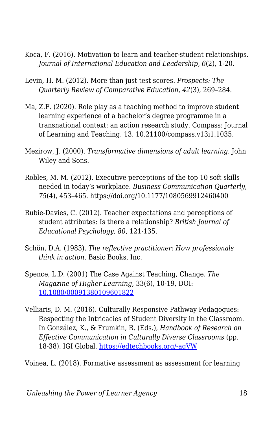- Koca, F. (2016). Motivation to learn and teacher-student relationships. *Journal of International Education and Leadership, 6*(2), 1-20.
- Levin, H. M. (2012). More than just test scores. *Prospects: The Quarterly Review of Comparative Education, 42*(3), 269–284.
- Ma, Z.F. (2020). Role play as a teaching method to improve student learning experience of a bachelor's degree programme in a transnational context: an action research study. Compass: Journal of Learning and Teaching. 13. 10.21100/compass.v13i1.1035.
- Mezirow, J. (2000). *Transformative dimensions of adult learning*. John Wiley and Sons.
- Robles, M. M. (2012). Executive perceptions of the top 10 soft skills needed in today's workplace. *Business Communication Quarterly, 75*(4), 453–465. https://doi.org/10.1177/1080569912460400
- Rubie-Davies, C. (2012). Teacher expectations and perceptions of student attributes: Is there a relationship? *British Journal of Educational Psychology*, *80*, 121-135.
- Schön, D.A. (1983). *The reflective practitioner: How professionals think in action*. Basic Books, Inc.
- Spence, L.D. (2001) The Case Against Teaching, Change. *The Magazine of Higher Learning*, 33(6), 10-19, DOI: [10.1080/00091380109601822](https://doi.org/10.1080/00091380109601822)
- Velliaris, D. M. (2016). Culturally Responsive Pathway Pedagogues: Respecting the Intricacies of Student Diversity in the Classroom. In González, K., & Frumkin, R. (Eds.), *Handbook of Research on Effective Communication in Culturally Diverse Classrooms* (pp. 18-38). IGI Global. [https://edtechbooks.org/-aqVW](https://edtechbooks.org/up/about:blank)

Voinea, L. (2018). Formative assessment as assessment for learning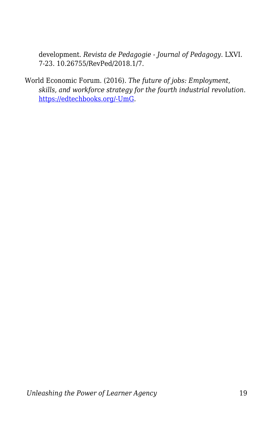development. *Revista de Pedagogie - Journal of Pedagogy*. LXVI. 7-23. 10.26755/RevPed/2018.1/7.

World Economic Forum. (2016). *The future of jobs: Employment, skills, and workforce strategy for the fourth industrial revolution*. [https://edtechbooks.org/-UmG.](http://www3.weforum.org/docs/WEF_Future_of_Jobs.pdf)